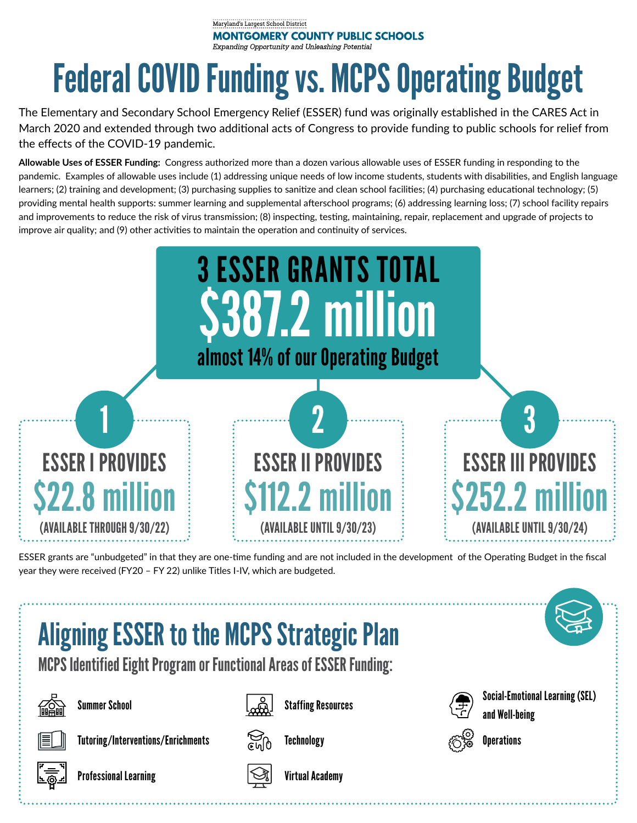## Maryland's Largest School District **MONTGOMERY COUNTY PUBLIC SCHOOLS** Expanding Opportunity and Unleashing Potential

## Federal COVID Funding vs. MCPS Operating Budget

The Elementary and Secondary School Emergency Relief (ESSER) fund was originally established in the CARES Act in March 2020 and extended through two additional acts of Congress to provide funding to public schools for relief from the effects of the COVID-19 pandemic.

**Allowable Uses of ESSER Funding:** Congress authorized more than a dozen various allowable uses of ESSER funding in responding to the pandemic. Examples of allowable uses include (1) addressing unique needs of low income students, students with disabilities, and English language learners; (2) training and development; (3) purchasing supplies to sanitize and clean school facilities; (4) purchasing educational technology; (5) providing mental health supports: summer learning and supplemental afterschool programs; (6) addressing learning loss; (7) school facility repairs and improvements to reduce the risk of virus transmission; (8) inspecting, testing, maintaining, repair, replacement and upgrade of projects to improve air quality; and (9) other activities to maintain the operation and continuity of services.



ESSER grants are "unbudgeted" in that they are one-time funding and are not included in the development of the Operating Budget in the fiscal year they were received (FY20 – FY 22) unlike Titles I-IV, which are budgeted.

## Aligning ESSER to the MCPS Strategic Plan

MCPS Identified Eight Program or Functional Areas of ESSER Funding:







Summer School Summer School Staffing Resources Summer School Summer School Summer School Supplement of Second Staffing Resources and Well-being



Tutoring/Interventions/Enrichments  $\sum_{c}$  Technology  $\mathcal{E}^c$  is Operations





Professional Learning Virtual Academy